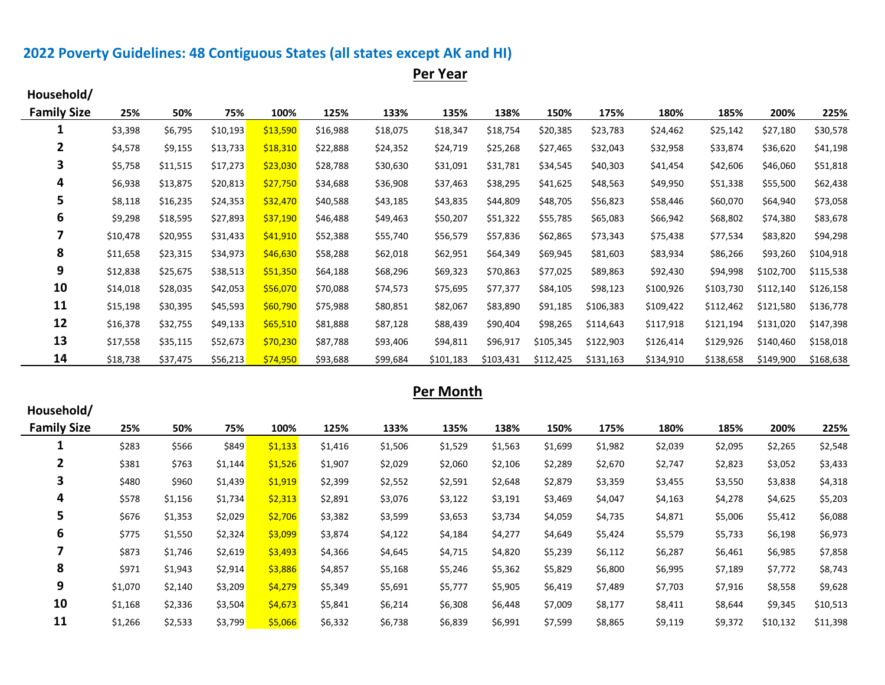# **2022 Poverty Guidelines: 48 Contiguous States (all states except AK and HI)**

**Per Year**

| Household/         |          |          |          |          |          |          |           |           |           |           |           |           |           |           |
|--------------------|----------|----------|----------|----------|----------|----------|-----------|-----------|-----------|-----------|-----------|-----------|-----------|-----------|
| <b>Family Size</b> | 25%      | 50%      | 75%      | 100%     | 125%     | 133%     | 135%      | 138%      | 150%      | 175%      | 180%      | 185%      | 200%      | 225%      |
| J.                 | \$3,398  | \$6,795  | \$10,193 | \$13,590 | \$16,988 | \$18,075 | \$18,347  | \$18,754  | \$20,385  | \$23,783  | \$24,462  | \$25,142  | \$27,180  | \$30,578  |
| 2                  | \$4,578  | \$9,155  | \$13,733 | \$18,310 | \$22,888 | \$24,352 | \$24,719  | \$25,268  | \$27,465  | \$32,043  | \$32,958  | \$33,874  | \$36,620  | \$41,198  |
| 3                  | \$5,758  | \$11,515 | \$17,273 | \$23,030 | \$28,788 | \$30,630 | \$31,091  | \$31,781  | \$34,545  | \$40,303  | \$41,454  | \$42,606  | \$46,060  | \$51,818  |
| 4                  | \$6,938  | \$13,875 | \$20,813 | \$27,750 | \$34,688 | \$36,908 | \$37,463  | \$38,295  | \$41,625  | \$48,563  | \$49,950  | \$51,338  | \$55,500  | \$62,438  |
| 5                  | \$8,118  | \$16,235 | \$24,353 | \$32,470 | \$40,588 | \$43,185 | \$43,835  | \$44,809  | \$48,705  | \$56,823  | \$58,446  | \$60,070  | \$64,940  | \$73,058  |
| 6                  | \$9,298  | \$18,595 | \$27,893 | \$37,190 | \$46,488 | \$49,463 | \$50,207  | \$51,322  | \$55,785  | \$65,083  | \$66,942  | \$68,802  | \$74,380  | \$83,678  |
|                    | \$10,478 | \$20,955 | \$31,433 | \$41,910 | \$52,388 | \$55,740 | \$56,579  | \$57,836  | \$62,865  | \$73,343  | \$75,438  | \$77,534  | \$83,820  | \$94,298  |
| 8                  | \$11,658 | \$23,315 | \$34,973 | \$46,630 | \$58,288 | \$62,018 | \$62,951  | \$64,349  | \$69,945  | \$81,603  | \$83,934  | \$86,266  | \$93,260  | \$104,918 |
| 9                  | \$12,838 | \$25,675 | \$38,513 | \$51,350 | \$64,188 | \$68,296 | \$69,323  | \$70,863  | \$77,025  | \$89,863  | \$92,430  | \$94,998  | \$102,700 | \$115,538 |
| 10                 | \$14,018 | \$28,035 | \$42,053 | \$56,070 | \$70,088 | \$74,573 | \$75,695  | \$77,377  | \$84,105  | \$98,123  | \$100,926 | \$103,730 | \$112,140 | \$126,158 |
| 11                 | \$15,198 | \$30,395 | \$45,593 | \$60,790 | \$75,988 | \$80,851 | \$82,067  | \$83,890  | \$91,185  | \$106,383 | \$109,422 | \$112,462 | \$121,580 | \$136,778 |
| 12                 | \$16,378 | \$32,755 | \$49,133 | \$65,510 | \$81,888 | \$87,128 | \$88,439  | \$90,404  | \$98,265  | \$114,643 | \$117,918 | \$121,194 | \$131,020 | \$147,398 |
| 13                 | \$17,558 | \$35,115 | \$52,673 | \$70,230 | \$87,788 | \$93,406 | \$94,811  | \$96,917  | \$105,345 | \$122,903 | \$126,414 | \$129,926 | \$140,460 | \$158,018 |
| 14                 | \$18,738 | \$37,475 | \$56,213 | \$74,950 | \$93,688 | \$99,684 | \$101,183 | \$103,431 | \$112,425 | \$131,163 | \$134,910 | \$138,658 | \$149,900 | \$168,638 |

## **Per Month**

| Household/         |         |         |         |         |         |         |         |         |         |         |         |         |          |          |
|--------------------|---------|---------|---------|---------|---------|---------|---------|---------|---------|---------|---------|---------|----------|----------|
| <b>Family Size</b> | 25%     | 50%     | 75%     | 100%    | 125%    | 133%    | 135%    | 138%    | 150%    | 175%    | 180%    | 185%    | 200%     | 225%     |
| J.                 | \$283   | \$566   | \$849   | \$1,133 | \$1,416 | \$1,506 | \$1,529 | \$1,563 | \$1,699 | \$1,982 | \$2,039 | \$2,095 | \$2,265  | \$2,548  |
| $\mathbf{2}$       | \$381   | \$763   | \$1,144 | \$1,526 | \$1,907 | \$2,029 | \$2,060 | \$2,106 | \$2,289 | \$2,670 | \$2,747 | \$2,823 | \$3,052  | \$3,433  |
| 3                  | \$480   | \$960   | \$1,439 | \$1,919 | \$2,399 | \$2,552 | \$2,591 | \$2,648 | \$2,879 | \$3,359 | \$3,455 | \$3,550 | \$3,838  | \$4,318  |
| 4                  | \$578   | \$1,156 | \$1,734 | \$2,313 | \$2,891 | \$3,076 | \$3,122 | \$3,191 | \$3,469 | \$4,047 | \$4,163 | \$4,278 | \$4,625  | \$5,203  |
| 5                  | \$676   | \$1,353 | \$2,029 | \$2,706 | \$3,382 | \$3,599 | \$3,653 | \$3,734 | \$4,059 | \$4,735 | \$4,871 | \$5,006 | \$5,412  | \$6,088  |
| 6                  | \$775   | \$1,550 | \$2,324 | \$3,099 | \$3,874 | \$4,122 | \$4,184 | \$4,277 | \$4,649 | \$5,424 | \$5,579 | \$5,733 | \$6,198  | \$6,973  |
|                    | \$873   | \$1,746 | \$2,619 | \$3,493 | \$4,366 | \$4,645 | \$4,715 | \$4,820 | \$5,239 | \$6,112 | \$6,287 | \$6,461 | \$6,985  | \$7,858  |
| 8                  | \$971   | \$1,943 | \$2,914 | \$3,886 | \$4,857 | \$5,168 | \$5,246 | \$5,362 | \$5,829 | \$6,800 | \$6,995 | \$7,189 | \$7,772  | \$8,743  |
| 9                  | \$1,070 | \$2,140 | \$3,209 | \$4,279 | \$5,349 | \$5,691 | \$5,777 | \$5,905 | \$6,419 | \$7,489 | \$7,703 | \$7,916 | \$8,558  | \$9,628  |
| 10                 | \$1,168 | \$2,336 | \$3,504 | \$4,673 | \$5,841 | \$6,214 | \$6,308 | \$6,448 | \$7,009 | \$8,177 | \$8,411 | \$8,644 | \$9,345  | \$10,513 |
| 11                 | \$1,266 | \$2,533 | \$3,799 | \$5,066 | \$6,332 | \$6,738 | \$6,839 | \$6,991 | \$7,599 | \$8,865 | \$9,119 | \$9,372 | \$10,132 | \$11,398 |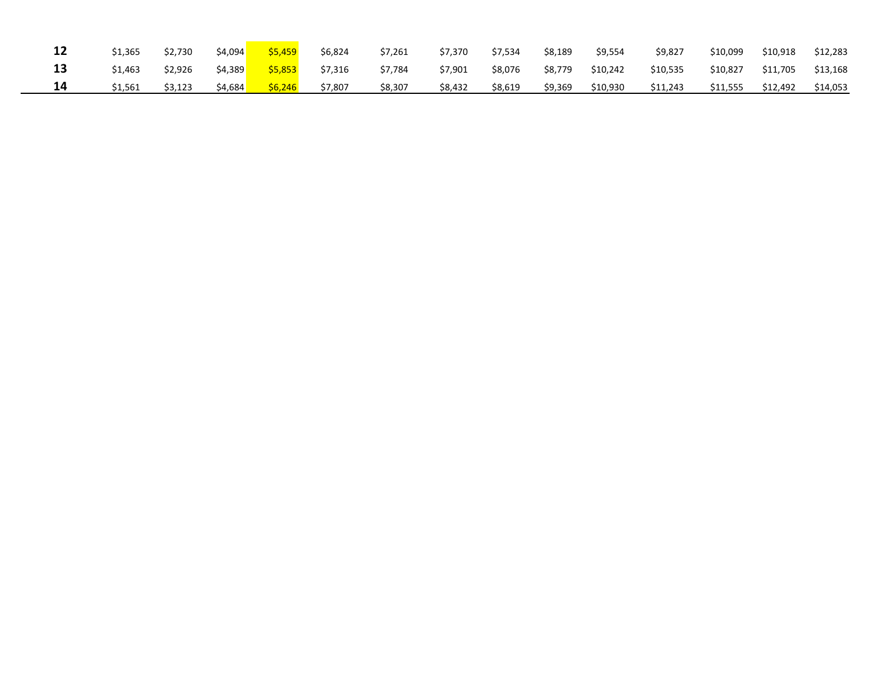| 12 | \$1,365 | \$2,730 | \$4,094 | \$5,459 | \$6,824 | \$7,261 | \$7,370 | \$7,534 | \$8,189 | \$9,554  | \$9,827  | \$10,099 | \$10,918 | \$12,283 |
|----|---------|---------|---------|---------|---------|---------|---------|---------|---------|----------|----------|----------|----------|----------|
| 13 | \$1,463 | \$2.926 | \$4,389 | \$5,853 | \$7,316 | \$7,784 | \$7,901 | \$8,076 | \$8,779 | \$10,242 | \$10,535 | \$10,827 | \$11,705 | \$13,168 |
| 14 | \$1,561 | \$3,123 | \$4,684 | \$6,246 | \$7,807 | \$8,307 | \$8,432 | \$8,619 | \$9,369 | \$10,930 | \$11,243 | \$11,555 | \$12,492 | \$14,053 |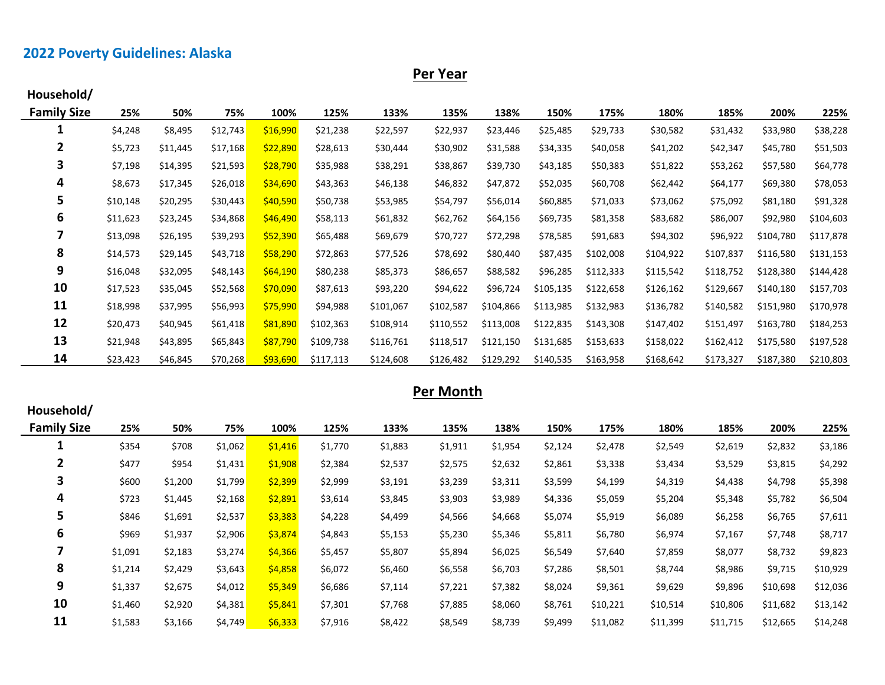# **2022 Poverty Guidelines: Alaska**

**Per Year**

| Household/         |          |          |          |          |           |           |           |           |           |           |           |           |           |           |
|--------------------|----------|----------|----------|----------|-----------|-----------|-----------|-----------|-----------|-----------|-----------|-----------|-----------|-----------|
| <b>Family Size</b> | 25%      | 50%      | 75%      | 100%     | 125%      | 133%      | 135%      | 138%      | 150%      | 175%      | 180%      | 185%      | 200%      | 225%      |
| 1                  | \$4,248  | \$8,495  | \$12,743 | \$16,990 | \$21,238  | \$22,597  | \$22,937  | \$23,446  | \$25,485  | \$29,733  | \$30,582  | \$31,432  | \$33,980  | \$38,228  |
| 2                  | \$5,723  | \$11,445 | \$17,168 | \$22,890 | \$28,613  | \$30,444  | \$30,902  | \$31,588  | \$34,335  | \$40,058  | \$41,202  | \$42,347  | \$45,780  | \$51,503  |
| 3                  | \$7,198  | \$14,395 | \$21,593 | \$28,790 | \$35,988  | \$38,291  | \$38,867  | \$39,730  | \$43,185  | \$50,383  | \$51,822  | \$53,262  | \$57,580  | \$64,778  |
| 4                  | \$8,673  | \$17,345 | \$26,018 | \$34,690 | \$43,363  | \$46,138  | \$46,832  | \$47,872  | \$52,035  | \$60,708  | \$62,442  | \$64,177  | \$69,380  | \$78,053  |
| 5                  | \$10,148 | \$20,295 | \$30,443 | \$40,590 | \$50,738  | \$53,985  | \$54,797  | \$56,014  | \$60,885  | \$71,033  | \$73,062  | \$75,092  | \$81,180  | \$91,328  |
| 6                  | \$11,623 | \$23,245 | \$34,868 | \$46,490 | \$58,113  | \$61,832  | \$62,762  | \$64,156  | \$69,735  | \$81,358  | \$83,682  | \$86,007  | \$92,980  | \$104,603 |
| 7                  | \$13,098 | \$26,195 | \$39,293 | \$52,390 | \$65,488  | \$69,679  | \$70,727  | \$72,298  | \$78,585  | \$91,683  | \$94,302  | \$96,922  | \$104,780 | \$117,878 |
| 8                  | \$14,573 | \$29,145 | \$43,718 | \$58,290 | \$72,863  | \$77,526  | \$78,692  | \$80,440  | \$87,435  | \$102,008 | \$104,922 | \$107,837 | \$116,580 | \$131,153 |
| 9                  | \$16,048 | \$32,095 | \$48,143 | \$64,190 | \$80,238  | \$85,373  | \$86,657  | \$88,582  | \$96,285  | \$112,333 | \$115,542 | \$118,752 | \$128,380 | \$144,428 |
| 10                 | \$17,523 | \$35,045 | \$52,568 | \$70,090 | \$87,613  | \$93,220  | \$94,622  | \$96,724  | \$105,135 | \$122,658 | \$126,162 | \$129,667 | \$140,180 | \$157,703 |
| 11                 | \$18,998 | \$37,995 | \$56,993 | \$75,990 | \$94,988  | \$101,067 | \$102,587 | \$104,866 | \$113,985 | \$132,983 | \$136,782 | \$140,582 | \$151,980 | \$170,978 |
| 12                 | \$20,473 | \$40,945 | \$61,418 | \$81,890 | \$102,363 | \$108,914 | \$110,552 | \$113,008 | \$122,835 | \$143,308 | \$147,402 | \$151,497 | \$163,780 | \$184,253 |
| 13                 | \$21,948 | \$43,895 | \$65,843 | \$87,790 | \$109,738 | \$116,761 | \$118,517 | \$121,150 | \$131,685 | \$153,633 | \$158,022 | \$162,412 | \$175,580 | \$197,528 |
| 14                 | \$23,423 | \$46,845 | \$70,268 | \$93,690 | \$117,113 | \$124,608 | \$126,482 | \$129,292 | \$140,535 | \$163,958 | \$168,642 | \$173,327 | \$187,380 | \$210,803 |

## **Per Month**

| Household/         |         |         |         |         |         |         |         |         |         |          |          |          |          |          |
|--------------------|---------|---------|---------|---------|---------|---------|---------|---------|---------|----------|----------|----------|----------|----------|
| <b>Family Size</b> | 25%     | 50%     | 75%     | 100%    | 125%    | 133%    | 135%    | 138%    | 150%    | 175%     | 180%     | 185%     | 200%     | 225%     |
| щ                  | \$354   | \$708   | \$1,062 | \$1,416 | \$1,770 | \$1,883 | \$1,911 | \$1,954 | \$2,124 | \$2,478  | \$2,549  | \$2,619  | \$2,832  | \$3,186  |
| $\mathbf{2}$       | \$477   | \$954   | \$1,431 | \$1,908 | \$2,384 | \$2,537 | \$2,575 | \$2,632 | \$2,861 | \$3,338  | \$3,434  | \$3,529  | \$3,815  | \$4,292  |
| 3                  | \$600   | \$1,200 | \$1,799 | \$2,399 | \$2,999 | \$3,191 | \$3,239 | \$3,311 | \$3,599 | \$4,199  | \$4,319  | \$4,438  | \$4,798  | \$5,398  |
| 4                  | \$723   | \$1,445 | \$2,168 | \$2,891 | \$3,614 | \$3,845 | \$3,903 | \$3,989 | \$4,336 | \$5,059  | \$5,204  | \$5,348  | \$5,782  | \$6,504  |
| 5                  | \$846   | \$1,691 | \$2,537 | \$3,383 | \$4,228 | \$4,499 | \$4,566 | \$4,668 | \$5,074 | \$5,919  | \$6,089  | \$6,258  | \$6,765  | \$7,611  |
| 6                  | \$969   | \$1,937 | \$2,906 | \$3,874 | \$4,843 | \$5,153 | \$5,230 | \$5,346 | \$5,811 | \$6,780  | \$6,974  | \$7,167  | \$7,748  | \$8,717  |
|                    | \$1,091 | \$2,183 | \$3,274 | \$4,366 | \$5,457 | \$5,807 | \$5,894 | \$6,025 | \$6,549 | \$7,640  | \$7,859  | \$8,077  | \$8,732  | \$9,823  |
| 8                  | \$1,214 | \$2,429 | \$3,643 | \$4,858 | \$6,072 | \$6,460 | \$6,558 | \$6,703 | \$7,286 | \$8,501  | \$8,744  | \$8,986  | \$9,715  | \$10,929 |
| 9                  | \$1,337 | \$2,675 | \$4,012 | \$5,349 | \$6,686 | \$7,114 | \$7,221 | \$7,382 | \$8,024 | \$9,361  | \$9,629  | \$9,896  | \$10,698 | \$12,036 |
| 10                 | \$1,460 | \$2,920 | \$4,381 | \$5,841 | \$7,301 | \$7,768 | \$7,885 | \$8,060 | \$8,761 | \$10,221 | \$10,514 | \$10,806 | \$11,682 | \$13,142 |
| 11                 | \$1,583 | \$3,166 | \$4,749 | \$6,333 | \$7,916 | \$8,422 | \$8,549 | \$8,739 | \$9,499 | \$11,082 | \$11,399 | \$11,715 | \$12,665 | \$14,248 |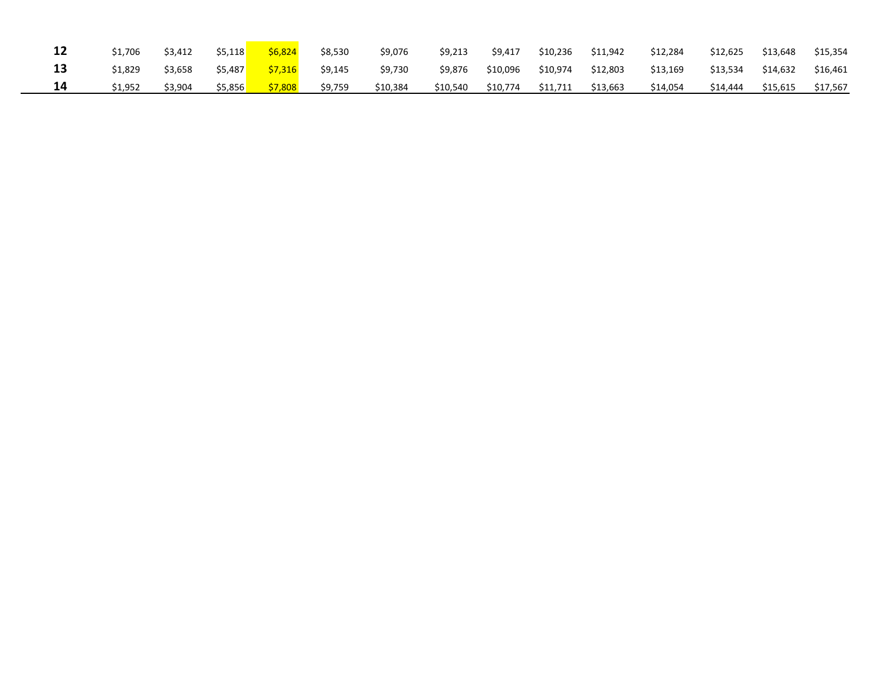| 12 | \$1.706 | \$3,412 | \$5.118 | \$6.824 | \$8,530 | \$9,076  | \$9,213  | \$9,417  | \$10,236 | \$11,942 | \$12,284 | \$12,625 | \$13.648 | \$15,354 |
|----|---------|---------|---------|---------|---------|----------|----------|----------|----------|----------|----------|----------|----------|----------|
| 13 | \$1.829 | \$3,658 | \$5,487 | \$7,316 | \$9,145 | \$9,730  | \$9,876  | \$10,096 | \$10,974 | \$12,803 | \$13,169 | \$13,534 | \$14,632 | \$16,461 |
| 14 | \$1.952 | \$3,904 | \$5,856 | \$7,808 | \$9,759 | \$10,384 | \$10,540 | \$10,774 | \$11,711 | \$13,663 | \$14,054 | \$14,444 | \$15,615 | \$17,567 |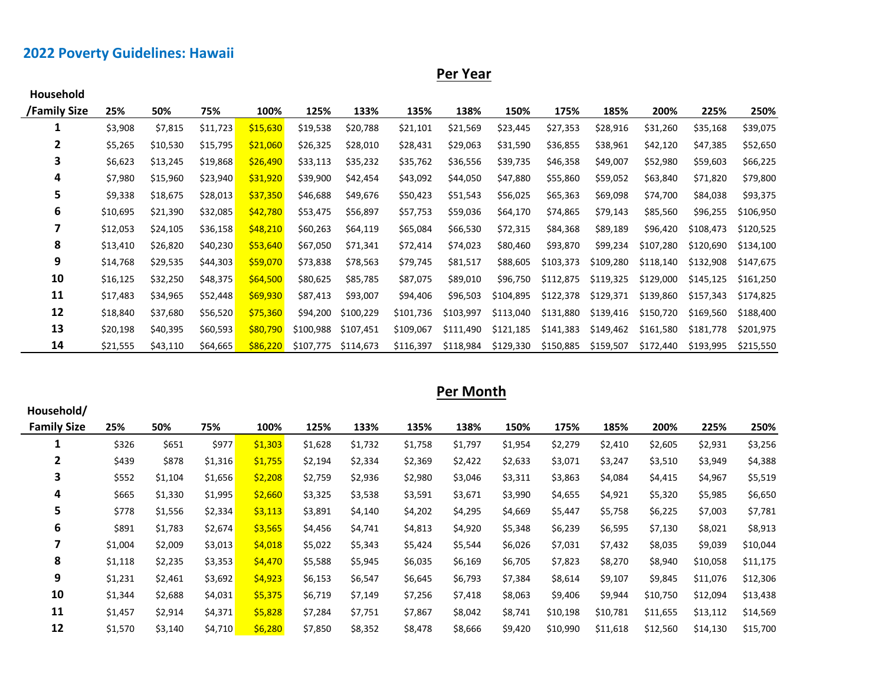# **2022 Poverty Guidelines: Hawaii**

**Per Year**

| <b>Household</b> |          |          |          |          |           |           |           |           |           |           |           |           |           |           |
|------------------|----------|----------|----------|----------|-----------|-----------|-----------|-----------|-----------|-----------|-----------|-----------|-----------|-----------|
| /Family Size     | 25%      | 50%      | 75%      | 100%     | 125%      | 133%      | 135%      | 138%      | 150%      | 175%      | 185%      | 200%      | 225%      | 250%      |
| 1                | \$3,908  | \$7,815  | \$11,723 | \$15,630 | \$19,538  | \$20,788  | \$21,101  | \$21,569  | \$23,445  | \$27,353  | \$28,916  | \$31,260  | \$35,168  | \$39,075  |
| $\mathbf{2}$     | \$5,265  | \$10,530 | \$15,795 | \$21,060 | \$26,325  | \$28,010  | \$28,431  | \$29,063  | \$31,590  | \$36,855  | \$38,961  | \$42,120  | \$47,385  | \$52,650  |
| 3                | \$6,623  | \$13,245 | \$19,868 | \$26,490 | \$33,113  | \$35,232  | \$35,762  | \$36,556  | \$39,735  | \$46,358  | \$49,007  | \$52,980  | \$59,603  | \$66,225  |
| 4                | \$7,980  | \$15,960 | \$23,940 | \$31,920 | \$39,900  | \$42,454  | \$43,092  | \$44,050  | \$47,880  | \$55,860  | \$59,052  | \$63,840  | \$71,820  | \$79,800  |
| 5                | \$9,338  | \$18,675 | \$28,013 | \$37,350 | \$46,688  | \$49,676  | \$50,423  | \$51,543  | \$56,025  | \$65,363  | \$69,098  | \$74,700  | \$84,038  | \$93,375  |
| 6                | \$10,695 | \$21,390 | \$32,085 | \$42,780 | \$53,475  | \$56,897  | \$57,753  | \$59,036  | \$64,170  | \$74,865  | \$79,143  | \$85,560  | \$96,255  | \$106,950 |
| 7                | \$12,053 | \$24,105 | \$36,158 | \$48,210 | \$60,263  | \$64,119  | \$65,084  | \$66,530  | \$72,315  | \$84,368  | \$89,189  | \$96,420  | \$108,473 | \$120,525 |
| 8                | \$13,410 | \$26,820 | \$40,230 | \$53,640 | \$67,050  | \$71,341  | \$72,414  | \$74,023  | \$80,460  | \$93,870  | \$99,234  | \$107,280 | \$120,690 | \$134,100 |
| 9                | \$14,768 | \$29,535 | \$44,303 | \$59,070 | \$73,838  | \$78,563  | \$79,745  | \$81,517  | \$88,605  | \$103,373 | \$109,280 | \$118,140 | \$132,908 | \$147,675 |
| 10               | \$16,125 | \$32,250 | \$48,375 | \$64,500 | \$80,625  | \$85,785  | \$87,075  | \$89,010  | \$96,750  | \$112,875 | \$119,325 | \$129,000 | \$145,125 | \$161,250 |
| 11               | \$17,483 | \$34,965 | \$52,448 | \$69,930 | \$87,413  | \$93,007  | \$94,406  | \$96,503  | \$104,895 | \$122,378 | \$129,371 | \$139,860 | \$157,343 | \$174,825 |
| 12               | \$18,840 | \$37,680 | \$56,520 | \$75,360 | \$94,200  | \$100,229 | \$101,736 | \$103,997 | \$113,040 | \$131,880 | \$139,416 | \$150,720 | \$169,560 | \$188,400 |
| 13               | \$20,198 | \$40,395 | \$60,593 | \$80,790 | \$100,988 | \$107,451 | \$109,067 | \$111,490 | \$121,185 | \$141,383 | \$149,462 | \$161,580 | \$181,778 | \$201,975 |
| 14               | \$21,555 | \$43,110 | \$64,665 | \$86,220 | \$107,775 | \$114,673 | \$116,397 | \$118,984 | \$129,330 | \$150,885 | \$159,507 | \$172,440 | \$193,995 | \$215,550 |

| Per Month |  |
|-----------|--|
|           |  |

| Household/         |         |         |         |         |         |         |         |         |         |          |          |          |          |          |
|--------------------|---------|---------|---------|---------|---------|---------|---------|---------|---------|----------|----------|----------|----------|----------|
| <b>Family Size</b> | 25%     | 50%     | 75%     | 100%    | 125%    | 133%    | 135%    | 138%    | 150%    | 175%     | 185%     | 200%     | 225%     | 250%     |
| 1                  | \$326   | \$651   | \$977   | \$1,303 | \$1,628 | \$1,732 | \$1,758 | \$1,797 | \$1,954 | \$2,279  | \$2,410  | \$2,605  | \$2,931  | \$3,256  |
| 2                  | \$439   | \$878   | \$1,316 | \$1,755 | \$2,194 | \$2,334 | \$2,369 | \$2,422 | \$2,633 | \$3,071  | \$3,247  | \$3,510  | \$3,949  | \$4,388  |
| 3                  | \$552   | \$1,104 | \$1,656 | \$2,208 | \$2,759 | \$2,936 | \$2,980 | \$3,046 | \$3,311 | \$3,863  | \$4,084  | \$4,415  | \$4,967  | \$5,519  |
| 4                  | \$665   | \$1,330 | \$1,995 | \$2,660 | \$3,325 | \$3,538 | \$3,591 | \$3,671 | \$3,990 | \$4,655  | \$4,921  | \$5,320  | \$5,985  | \$6,650  |
| 5                  | \$778   | \$1,556 | \$2,334 | \$3,113 | \$3,891 | \$4,140 | \$4,202 | \$4,295 | \$4,669 | \$5,447  | \$5,758  | \$6,225  | \$7,003  | \$7,781  |
| 6                  | \$891   | \$1,783 | \$2,674 | \$3,565 | \$4,456 | \$4,741 | \$4,813 | \$4,920 | \$5,348 | \$6,239  | \$6,595  | \$7,130  | \$8,021  | \$8,913  |
| 7                  | \$1,004 | \$2,009 | \$3,013 | \$4,018 | \$5,022 | \$5,343 | \$5,424 | \$5,544 | \$6,026 | \$7,031  | \$7,432  | \$8,035  | \$9,039  | \$10,044 |
| 8                  | \$1,118 | \$2,235 | \$3,353 | \$4,470 | \$5,588 | \$5,945 | \$6,035 | \$6,169 | \$6,705 | \$7,823  | \$8,270  | \$8,940  | \$10,058 | \$11,175 |
| 9                  | \$1,231 | \$2,461 | \$3,692 | \$4,923 | \$6,153 | \$6,547 | \$6,645 | \$6,793 | \$7,384 | \$8,614  | \$9,107  | \$9,845  | \$11,076 | \$12,306 |
| 10                 | \$1,344 | \$2,688 | \$4,031 | \$5,375 | \$6,719 | \$7,149 | \$7,256 | \$7,418 | \$8,063 | \$9,406  | \$9,944  | \$10,750 | \$12,094 | \$13,438 |
| 11                 | \$1,457 | \$2,914 | \$4,371 | \$5,828 | \$7,284 | \$7,751 | \$7,867 | \$8,042 | \$8,741 | \$10,198 | \$10,781 | \$11,655 | \$13,112 | \$14,569 |
| 12                 | \$1,570 | \$3,140 | \$4,710 | \$6,280 | \$7,850 | \$8,352 | \$8,478 | \$8,666 | \$9,420 | \$10,990 | \$11,618 | \$12,560 | \$14,130 | \$15,700 |